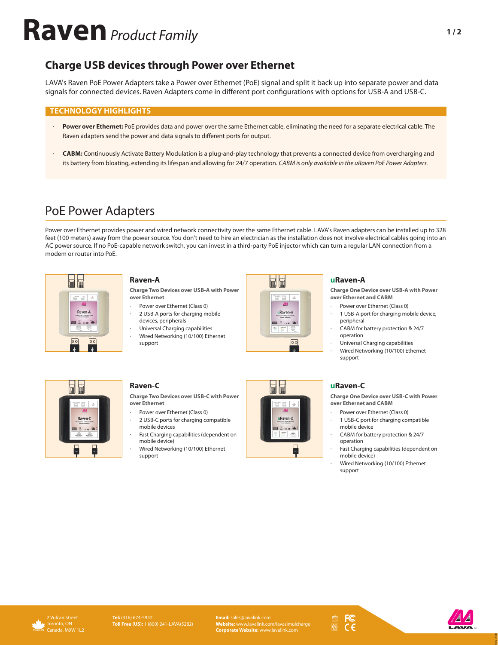# **Raven** Product Family

## **Charge USB devices through Power over Ethernet**

LAVA's Raven PoE Power Adapters take a Power over Ethernet (PoE) signal and split it back up into separate power and data signals for connected devices. Raven Adapters come in different port configurations with options for USB-A and USB-C.

### **TECHNOLOGY HIGHLIGHTS**

- Power over Ethernet: PoE provides data and power over the same Ethernet cable, eliminating the need for a separate electrical cable. The Raven adapters send the power and data signals to different ports for output.
- **CABM:** Continuously Activate Battery Modulation is a plug-and-play technology that prevents a connected device from overcharging and its battery from bloating, extending its lifespan and allowing for 24/7 operation. CABM is only available in the uRaven PoE Power Adapters.

# PoE Power Adapters

Power over Ethernet provides power and wired network connectivity over the same Ethernet cable. LAVA's Raven adapters can be installed up to 328 feet (100 meters) away from the power source. You don't need to hire an electrician as the installation does not involve electrical cables going into an AC power source. If no PoE-capable network switch, you can invest in a third-party PoE injector which can turn a regular LAN connection from a modem or router into PoE.



#### **Raven-A**

**Charge Two Devices over USB-A with Power over Ethernet**

- Power over Ethernet (Class 0)
- 2 USB-A ports for charging mobile devices, peripherals
- Universal Charging capabilities Wired Networking (10/100) Ethernet support



#### **uRaven-A**

**Charge One Device over USB-A with Power over Ethernet and CABM**

- Power over Ethernet (Class 0)
- 1 USB-A port for charging mobile device, peripheral
- CABM for battery protection & 24/7 operation
- Universal Charging capabilities Wired Networking (10/100) Ethernet support



**Charge Two Devices over USB-C with Power over Ethernet**

- Power over Ethernet (Class 0)
- 2 USB-C ports for charging compatible mobile devices
- Fast Charging capabilities (dependent on mobile device)
- Wired Networking (10/100) Ethernet support





**Charge One Device over USB-C with Power over Ethernet and CABM**

- Power over Ethernet (Class 0)
- 1 USB-C port for charging compatible mobile device
- CABM for battery protection & 24/7 operation
- Fast Charging capabilities (dependent on mobile device)
- Wired Networking (10/100) Ethernet support



**Email:** sales@lavalink.com **Website:** www.lavalink.com/lavasimulcharge **Corporate Website:** www.lavalink.com







Rev. A00